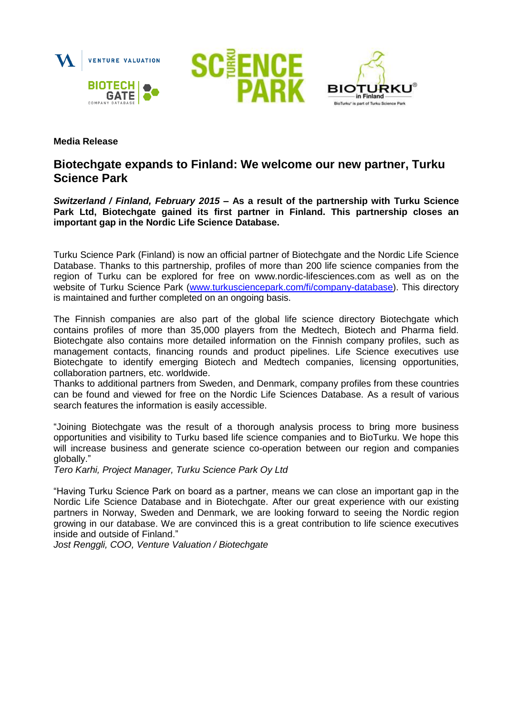





## **Media Release**

# **Biotechgate expands to Finland: We welcome our new partner, Turku Science Park**

*Switzerland / Finland, February 2015* **– As a result of the partnership with Turku Science Park Ltd, Biotechgate gained its first partner in Finland. This partnership closes an important gap in the Nordic Life Science Database.**

Turku Science Park (Finland) is now an official partner of Biotechgate and the Nordic Life Science Database. Thanks to this partnership, profiles of more than 200 life science companies from the region of Turku can be explored for free on www.nordic-lifesciences.com as well as on the website of Turku Science Park [\(www.turkusciencepark.com/fi/company-database\)](http://www.turkusciencepark.com/fi/company-database). This directory is maintained and further completed on an ongoing basis.

The Finnish companies are also part of the global life science directory Biotechgate which contains profiles of more than 35,000 players from the Medtech, Biotech and Pharma field. Biotechgate also contains more detailed information on the Finnish company profiles, such as management contacts, financing rounds and product pipelines. Life Science executives use Biotechgate to identify emerging Biotech and Medtech companies, licensing opportunities, collaboration partners, etc. worldwide.

Thanks to additional partners from Sweden, and Denmark, company profiles from these countries can be found and viewed for free on the Nordic Life Sciences Database. As a result of various search features the information is easily accessible.

"Joining Biotechgate was the result of a thorough analysis process to bring more business opportunities and visibility to Turku based life science companies and to BioTurku. We hope this will increase business and generate science co-operation between our region and companies globally."

*Tero Karhi, Project Manager, Turku Science Park Oy Ltd*

"Having Turku Science Park on board as a partner, means we can close an important gap in the Nordic Life Science Database and in Biotechgate. After our great experience with our existing partners in Norway, Sweden and Denmark, we are looking forward to seeing the Nordic region growing in our database. We are convinced this is a great contribution to life science executives inside and outside of Finland."

*Jost Renggli, COO, Venture Valuation / Biotechgate*